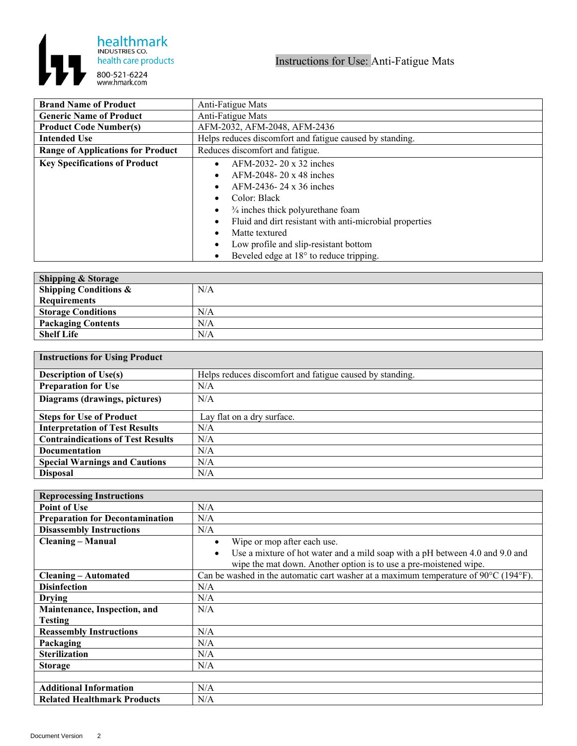

| <b>Brand Name of Product</b>             | Anti-Fatigue Mats                                        |
|------------------------------------------|----------------------------------------------------------|
| <b>Generic Name of Product</b>           | Anti-Fatigue Mats                                        |
| <b>Product Code Number(s)</b>            | AFM-2032, AFM-2048, AFM-2436                             |
| <b>Intended Use</b>                      | Helps reduces discomfort and fatigue caused by standing. |
| <b>Range of Applications for Product</b> | Reduces discomfort and fatigue.                          |
| <b>Key Specifications of Product</b>     | AFM-2032-20 x 32 inches                                  |
|                                          | AFM-2048-20 x 48 inches                                  |
|                                          | AFM-2436-24 x 36 inches                                  |
|                                          | Color: Black                                             |
|                                          | $\frac{3}{4}$ inches thick polyurethane foam             |
|                                          | Fluid and dirt resistant with anti-microbial properties  |
|                                          | Matte textured                                           |
|                                          | Low profile and slip-resistant bottom                    |
|                                          | Beveled edge at $18^{\circ}$ to reduce tripping.         |

| Shipping & Storage               |     |
|----------------------------------|-----|
| <b>Shipping Conditions &amp;</b> | N/A |
| <b>Requirements</b>              |     |
| <b>Storage Conditions</b>        | N/A |
| <b>Packaging Contents</b>        | N/A |
| <b>Shelf Life</b>                | N/A |

| <b>Instructions for Using Product</b>    |                                                          |  |
|------------------------------------------|----------------------------------------------------------|--|
| <b>Description of Use(s)</b>             | Helps reduces discomfort and fatigue caused by standing. |  |
| <b>Preparation for Use</b>               | N/A                                                      |  |
| Diagrams (drawings, pictures)            | N/A                                                      |  |
| <b>Steps for Use of Product</b>          | Lay flat on a dry surface.                               |  |
| <b>Interpretation of Test Results</b>    | N/A                                                      |  |
| <b>Contraindications of Test Results</b> | N/A                                                      |  |
| <b>Documentation</b>                     | N/A                                                      |  |
| <b>Special Warnings and Cautions</b>     | N/A                                                      |  |
| <b>Disposal</b>                          | N/A                                                      |  |

| <b>Reprocessing Instructions</b>       |                                                                                                          |
|----------------------------------------|----------------------------------------------------------------------------------------------------------|
| <b>Point of Use</b>                    | N/A                                                                                                      |
| <b>Preparation for Decontamination</b> | N/A                                                                                                      |
| <b>Disassembly Instructions</b>        | N/A                                                                                                      |
| <b>Cleaning – Manual</b>               | Wipe or mop after each use.<br>$\bullet$                                                                 |
|                                        | Use a mixture of hot water and a mild soap with a pH between 4.0 and 9.0 and<br>$\bullet$                |
|                                        | wipe the mat down. Another option is to use a pre-moistened wipe.                                        |
| <b>Cleaning – Automated</b>            | Can be washed in the automatic cart washer at a maximum temperature of 90 $\degree$ C (194 $\degree$ F). |
| <b>Disinfection</b>                    | N/A                                                                                                      |
| <b>Drying</b>                          | N/A                                                                                                      |
| Maintenance, Inspection, and           | N/A                                                                                                      |
| Testing                                |                                                                                                          |
| <b>Reassembly Instructions</b>         | N/A                                                                                                      |
| Packaging                              | N/A                                                                                                      |
| <b>Sterilization</b>                   | N/A                                                                                                      |
| <b>Storage</b>                         | N/A                                                                                                      |
|                                        |                                                                                                          |
| <b>Additional Information</b>          | N/A                                                                                                      |
| <b>Related Healthmark Products</b>     | N/A                                                                                                      |